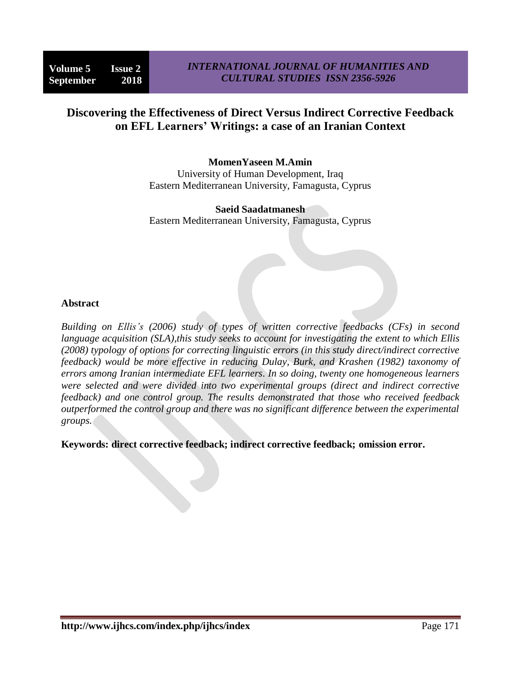# **Discovering the Effectiveness of Direct Versus Indirect Corrective Feedback on EFL Learners' Writings: a case of an Iranian Context**

### **MomenYaseen M.Amin**

University of Human Development, Iraq Eastern Mediterranean University, Famagusta, Cyprus

**Saeid Saadatmanesh** Eastern Mediterranean University, Famagusta, Cyprus

### **Abstract**

*Building on Ellis's (2006) study of types of written corrective feedbacks (CFs) in second language acquisition (SLA),this study seeks to account for investigating the extent to which Ellis (2008) typology of options for correcting linguistic errors (in this study direct/indirect corrective feedback) would be more effective in reducing Dulay, Burk, and Krashen (1982) taxonomy of errors among Iranian intermediate EFL learners. In so doing, twenty one homogeneous learners were selected and were divided into two experimental groups (direct and indirect corrective feedback) and one control group. The results demonstrated that those who received feedback outperformed the control group and there was no significant difference between the experimental groups.*

**Keywords: direct corrective feedback; indirect corrective feedback; omission error.**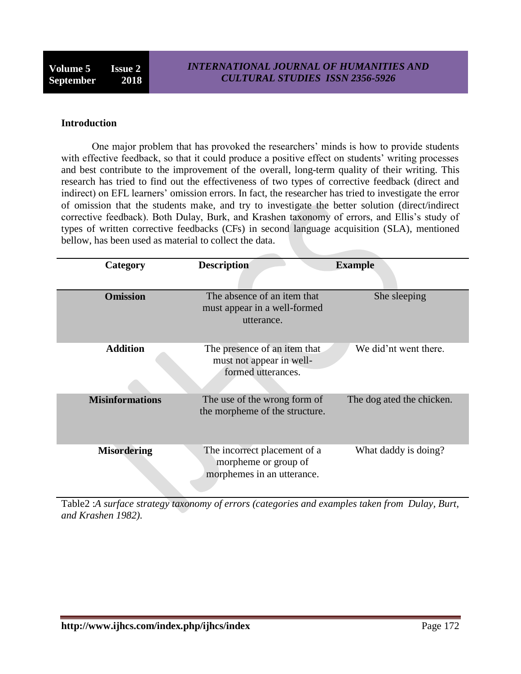#### **Introduction**

One major problem that has provoked the researchers' minds is how to provide students with effective feedback, so that it could produce a positive effect on students' writing processes and best contribute to the improvement of the overall, long-term quality of their writing. This research has tried to find out the effectiveness of two types of corrective feedback (direct and indirect) on EFL learners' omission errors. In fact, the researcher has tried to investigate the error of omission that the students make, and try to investigate the better solution (direct/indirect corrective feedback). Both Dulay, Burk, and Krashen taxonomy of errors, and Ellis's study of types of written corrective feedbacks (CFs) in second language acquisition (SLA), mentioned bellow, has been used as material to collect the data.

| Category               | <b>Description</b>                                                                 | <b>Example</b>            |
|------------------------|------------------------------------------------------------------------------------|---------------------------|
| <b>Omission</b>        | The absence of an item that<br>must appear in a well-formed<br>utterance.          | She sleeping              |
| <b>Addition</b>        | The presence of an item that<br>must not appear in well-<br>formed utterances.     | We did'nt went there.     |
| <b>Misinformations</b> | The use of the wrong form of<br>the morpheme of the structure.                     | The dog ated the chicken. |
| <b>Misordering</b>     | The incorrect placement of a<br>morpheme or group of<br>morphemes in an utterance. | What daddy is doing?      |

Table2 :*A surface strategy taxonomy of errors (categories and examples taken from Dulay, Burt, and Krashen 1982).*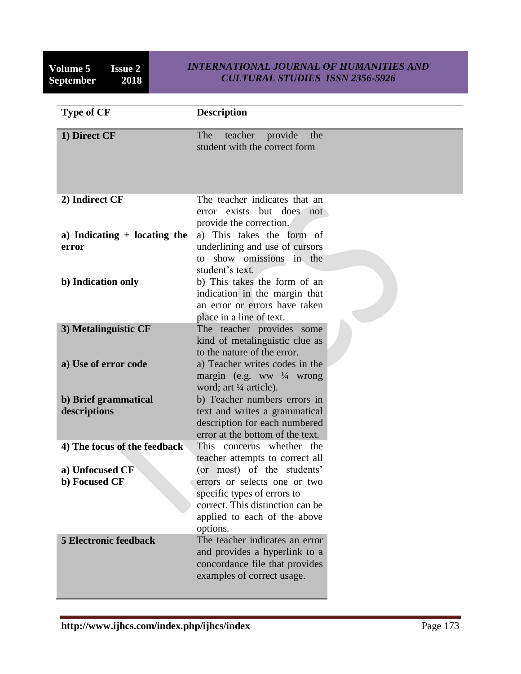**Volume 5** Issue 2<br>September 2018 **September** 

# *INTERNATIONAL JOURNAL OF HUMANITIES AND CULTURAL STUDIES ISSN 2356-5926*

| <b>Type of CF</b>                                                | <b>Description</b>                                                                                                                                                                                                                        |
|------------------------------------------------------------------|-------------------------------------------------------------------------------------------------------------------------------------------------------------------------------------------------------------------------------------------|
| 1) Direct CF                                                     | teacher provide<br>The<br>the<br>student with the correct form                                                                                                                                                                            |
| 2) Indirect CF                                                   | The teacher indicates that an<br>but does not<br>error exists<br>provide the correction.                                                                                                                                                  |
| a) Indicating $+$ locating the<br>error                          | a) This takes the form of<br>underlining and use of cursors<br>show omissions in the<br>to<br>student's text.                                                                                                                             |
| b) Indication only                                               | b) This takes the form of an<br>indication in the margin that<br>an error or errors have taken<br>place in a line of text.                                                                                                                |
| 3) Metalinguistic CF                                             | The teacher provides some<br>kind of metalinguistic clue as<br>to the nature of the error.                                                                                                                                                |
| a) Use of error code                                             | a) Teacher writes codes in the<br>margin (e.g. ww $\frac{1}{4}$ wrong<br>word; art ¼ article).                                                                                                                                            |
| b) Brief grammatical<br>descriptions                             | b) Teacher numbers errors in<br>text and writes a grammatical<br>description for each numbered<br>error at the bottom of the text.                                                                                                        |
| 4) The focus of the feedback<br>a) Unfocused CF<br>b) Focused CF | This concerns whether the<br>teacher attempts to correct all<br>(or most) of the students'<br>errors or selects one or two<br>specific types of errors to<br>correct. This distinction can be<br>applied to each of the above<br>options. |
| <b>5 Electronic feedback</b>                                     | The teacher indicates an error<br>and provides a hyperlink to a<br>concordance file that provides<br>examples of correct usage.                                                                                                           |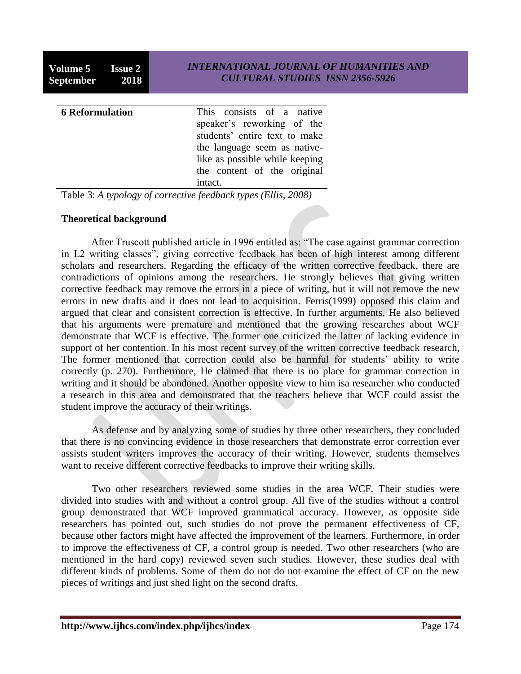**Volume 5 Issue 2 September 2018**

| <b>6</b> Reformulation | This consists of a native<br>speaker's reworking of the<br>students' entire text to make<br>the language seem as native- |
|------------------------|--------------------------------------------------------------------------------------------------------------------------|
|                        | like as possible while keeping<br>the content of the original                                                            |
|                        | intact.                                                                                                                  |

Table 3: *A typology of corrective feedback types (Ellis, 2008)*

# **Theoretical background**

After Truscott published article in 1996 entitled as: "The case against grammar correction in L2 writing classes", giving corrective feedback has been of high interest among different scholars and researchers. Regarding the efficacy of the written corrective feedback, there are contradictions of opinions among the researchers. He strongly believes that giving written corrective feedback may remove the errors in a piece of writing, but it will not remove the new errors in new drafts and it does not lead to acquisition. Ferris(1999) opposed this claim and argued that clear and consistent correction is effective. In further arguments, He also believed that his arguments were premature and mentioned that the growing researches about WCF demonstrate that WCF is effective. The former one criticized the latter of lacking evidence in support of her contention. In his most recent survey of the written corrective feedback research, The former mentioned that correction could also be harmful for students' ability to write correctly (p. 270). Furthermore, He claimed that there is no place for grammar correction in writing and it should be abandoned. Another opposite view to him isa researcher who conducted a research in this area and demonstrated that the teachers believe that WCF could assist the student improve the accuracy of their writings.

As defense and by analyzing some of studies by three other researchers, they concluded that there is no convincing evidence in those researchers that demonstrate error correction ever assists student writers improves the accuracy of their writing. However, students themselves want to receive different corrective feedbacks to improve their writing skills.

Two other researchers reviewed some studies in the area WCF. Their studies were divided into studies with and without a control group. All five of the studies without a control group demonstrated that WCF improved grammatical accuracy. However, as opposite side researchers has pointed out, such studies do not prove the permanent effectiveness of CF, because other factors might have affected the improvement of the learners. Furthermore, in order to improve the effectiveness of CF, a control group is needed. Two other researchers (who are mentioned in the hard copy) reviewed seven such studies. However, these studies deal with different kinds of problems. Some of them do not do not examine the effect of CF on the new pieces of writings and just shed light on the second drafts.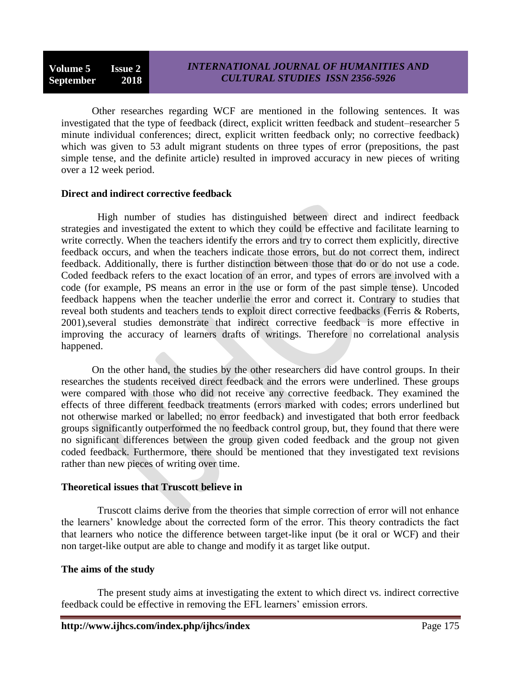Other researches regarding WCF are mentioned in the following sentences. It was investigated that the type of feedback (direct, explicit written feedback and student–researcher 5 minute individual conferences; direct, explicit written feedback only; no corrective feedback) which was given to 53 adult migrant students on three types of error (prepositions, the past simple tense, and the definite article) resulted in improved accuracy in new pieces of writing over a 12 week period.

# **Direct and indirect corrective feedback**

High number of studies has distinguished between direct and indirect feedback strategies and investigated the extent to which they could be effective and facilitate learning to write correctly. When the teachers identify the errors and try to correct them explicitly, directive feedback occurs, and when the teachers indicate those errors, but do not correct them, indirect feedback. Additionally, there is further distinction between those that do or do not use a code. Coded feedback refers to the exact location of an error, and types of errors are involved with a code (for example, PS means an error in the use or form of the past simple tense). Uncoded feedback happens when the teacher underlie the error and correct it. Contrary to studies that reveal both students and teachers tends to exploit direct corrective feedbacks (Ferris & Roberts, 2001),several studies demonstrate that indirect corrective feedback is more effective in improving the accuracy of learners drafts of writings. Therefore no correlational analysis happened.

On the other hand, the studies by the other researchers did have control groups. In their researches the students received direct feedback and the errors were underlined. These groups were compared with those who did not receive any corrective feedback. They examined the effects of three different feedback treatments (errors marked with codes; errors underlined but not otherwise marked or labelled; no error feedback) and investigated that both error feedback groups significantly outperformed the no feedback control group, but, they found that there were no significant differences between the group given coded feedback and the group not given coded feedback. Furthermore, there should be mentioned that they investigated text revisions rather than new pieces of writing over time.

# **Theoretical issues that Truscott believe in**

Truscott claims derive from the theories that simple correction of error will not enhance the learners' knowledge about the corrected form of the error. This theory contradicts the fact that learners who notice the difference between target-like input (be it oral or WCF) and their non target-like output are able to change and modify it as target like output.

# **The aims of the study**

The present study aims at investigating the extent to which direct vs. indirect corrective feedback could be effective in removing the EFL learners' emission errors.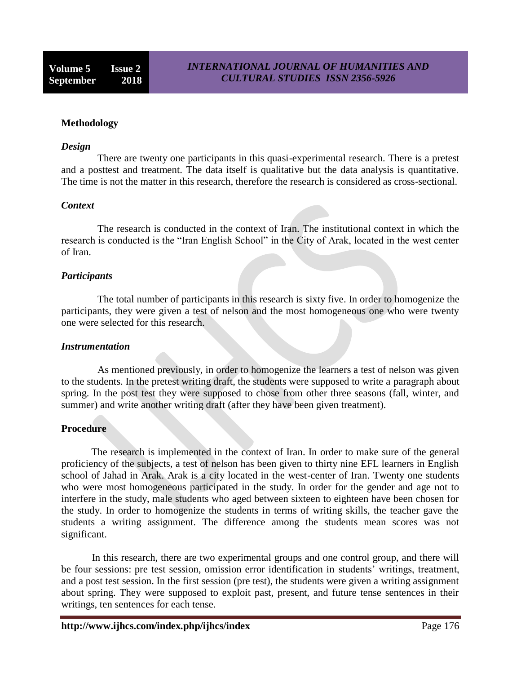### **Methodology**

#### *Design*

There are twenty one participants in this quasi-experimental research. There is a pretest and a posttest and treatment. The data itself is qualitative but the data analysis is quantitative. The time is not the matter in this research, therefore the research is considered as cross-sectional.

#### *Context*

The research is conducted in the context of Iran. The institutional context in which the research is conducted is the "Iran English School" in the City of Arak, located in the west center of Iran.

#### *Participants*

The total number of participants in this research is sixty five. In order to homogenize the participants, they were given a test of nelson and the most homogeneous one who were twenty one were selected for this research.

#### *Instrumentation*

As mentioned previously, in order to homogenize the learners a test of nelson was given to the students. In the pretest writing draft, the students were supposed to write a paragraph about spring. In the post test they were supposed to chose from other three seasons (fall, winter, and summer) and write another writing draft (after they have been given treatment).

#### **Procedure**

The research is implemented in the context of Iran. In order to make sure of the general proficiency of the subjects, a test of nelson has been given to thirty nine EFL learners in English school of Jahad in Arak. Arak is a city located in the west-center of Iran. Twenty one students who were most homogeneous participated in the study. In order for the gender and age not to interfere in the study, male students who aged between sixteen to eighteen have been chosen for the study. In order to homogenize the students in terms of writing skills, the teacher gave the students a writing assignment. The difference among the students mean scores was not significant.

In this research, there are two experimental groups and one control group, and there will be four sessions: pre test session, omission error identification in students' writings, treatment, and a post test session. In the first session (pre test), the students were given a writing assignment about spring. They were supposed to exploit past, present, and future tense sentences in their writings, ten sentences for each tense.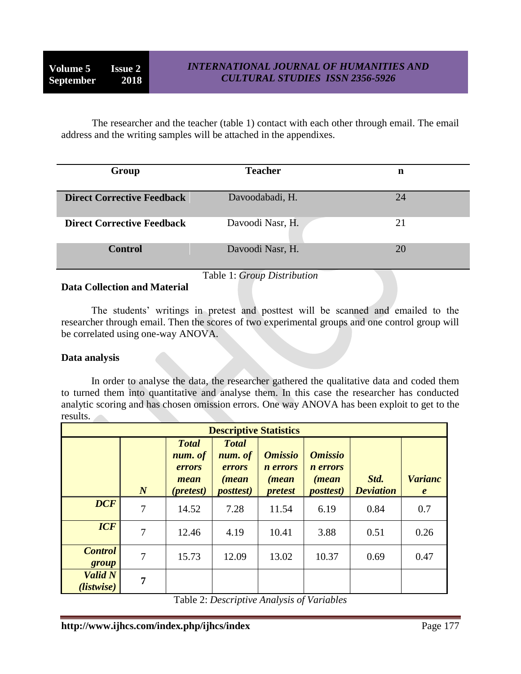The researcher and the teacher (table 1) contact with each other through email. The email address and the writing samples will be attached in the appendixes.

| Group                             | <b>Teacher</b>   | n  |  |
|-----------------------------------|------------------|----|--|
|                                   |                  |    |  |
| <b>Direct Corrective Feedback</b> | Davoodabadi, H.  | 24 |  |
| <b>Direct Corrective Feedback</b> | Davoodi Nasr, H. | 21 |  |
| <b>Control</b>                    | Davoodi Nasr, H. | 20 |  |
| Table 1: Group Distribution       |                  |    |  |

# **Data Collection and Material**

The students' writings in pretest and posttest will be scanned and emailed to the researcher through email. Then the scores of two experimental groups and one control group will be correlated using one-way ANOVA.

# **Data analysis**

In order to analyse the data, the researcher gathered the qualitative data and coded them to turned them into quantitative and analyse them. In this case the researcher has conducted analytic scoring and has chosen omission errors. One way ANOVA has been exploit to get to the results.

| <b>Descriptive Statistics</b> |                  |                                                                 |                                                                         |                                                                      |                                                                         |                          |                                    |
|-------------------------------|------------------|-----------------------------------------------------------------|-------------------------------------------------------------------------|----------------------------------------------------------------------|-------------------------------------------------------------------------|--------------------------|------------------------------------|
|                               | $\boldsymbol{N}$ | <b>Total</b><br>num. of<br>errors<br>mean<br>( <i>pretest</i> ) | <b>Total</b><br>num. of<br><i>errors</i><br>(mean)<br><i>posttest</i> ) | <b>Omissio</b><br><i>n</i> errors<br><i>(mean)</i><br><i>pretest</i> | <b>Omissio</b><br><i>n</i> errors<br><i>(mean)</i><br><i>posttest</i> ) | Std.<br><b>Deviation</b> | <b>Varianc</b><br>$\boldsymbol{e}$ |
| <b>DCF</b>                    | 7                | 14.52                                                           | 7.28                                                                    | 11.54                                                                | 6.19                                                                    | 0.84                     | 0.7                                |
| <b>ICF</b>                    | 7                | 12.46                                                           | 4.19                                                                    | 10.41                                                                | 3.88                                                                    | 0.51                     | 0.26                               |
| <b>Control</b><br>group       | $\tau$           | 15.73                                                           | 12.09                                                                   | 13.02                                                                | 10.37                                                                   | 0.69                     | 0.47                               |
| <b>Valid N</b><br>(listwise)  | 7                |                                                                 |                                                                         |                                                                      |                                                                         |                          |                                    |

Table 2: *Descriptive Analysis of Variables*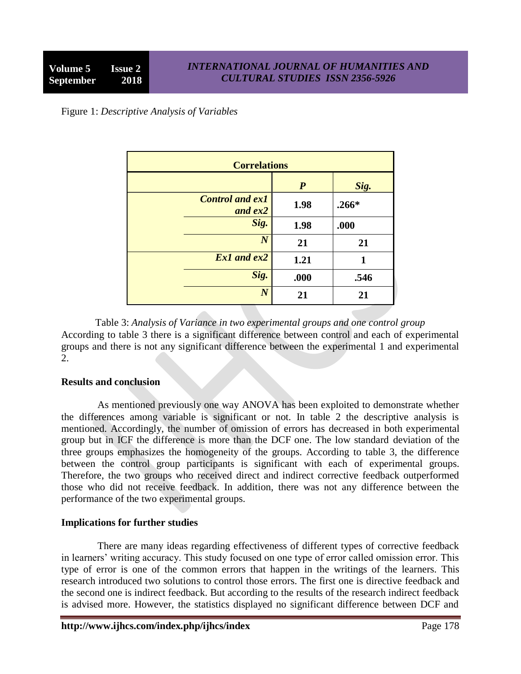Figure 1: *Descriptive Analysis of Variables*

| <b>Correlations</b>                 |                  |         |  |  |
|-------------------------------------|------------------|---------|--|--|
|                                     | $\boldsymbol{P}$ | Sig.    |  |  |
| <b>Control and ex1</b><br>and $ex2$ | 1.98             | $.266*$ |  |  |
| Sig.                                | 1.98             | .000    |  |  |
| $\boldsymbol{N}$                    | 21               | 21      |  |  |
| Ex1 and ex2                         | 1.21             | 1       |  |  |
| Sig.                                | .000             | .546    |  |  |
| $\boldsymbol{N}$                    | 21               | 21      |  |  |

Table 3: *Analysis of Variance in two experimental groups and one control group* According to table 3 there is a significant difference between control and each of experimental groups and there is not any significant difference between the experimental 1 and experimental  $\mathcal{D}$ 

# **Results and conclusion**

As mentioned previously one way ANOVA has been exploited to demonstrate whether the differences among variable is significant or not. In table 2 the descriptive analysis is mentioned. Accordingly, the number of omission of errors has decreased in both experimental group but in ICF the difference is more than the DCF one. The low standard deviation of the three groups emphasizes the homogeneity of the groups. According to table 3, the difference between the control group participants is significant with each of experimental groups. Therefore, the two groups who received direct and indirect corrective feedback outperformed those who did not receive feedback. In addition, there was not any difference between the performance of the two experimental groups.

# **Implications for further studies**

There are many ideas regarding effectiveness of different types of corrective feedback in learners' writing accuracy. This study focused on one type of error called omission error. This type of error is one of the common errors that happen in the writings of the learners. This research introduced two solutions to control those errors. The first one is directive feedback and the second one is indirect feedback. But according to the results of the research indirect feedback is advised more. However, the statistics displayed no significant difference between DCF and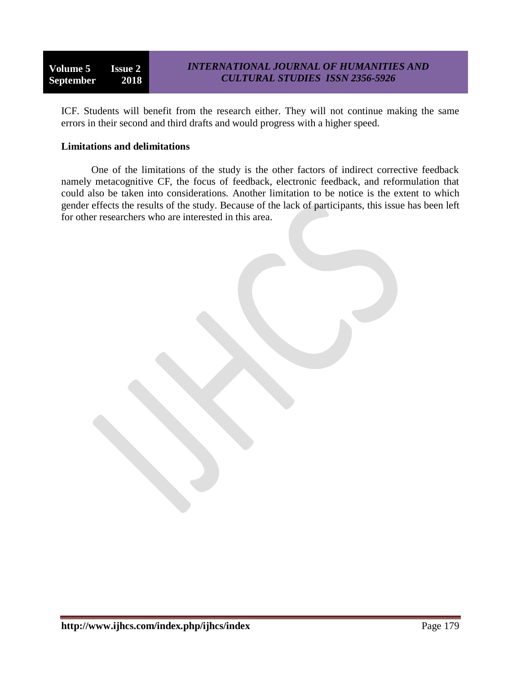**Volume 5 Issue 2 September 2018**

ICF. Students will benefit from the research either. They will not continue making the same errors in their second and third drafts and would progress with a higher speed.

### **Limitations and delimitations**

One of the limitations of the study is the other factors of indirect corrective feedback namely metacognitive CF, the focus of feedback, electronic feedback, and reformulation that could also be taken into considerations. Another limitation to be notice is the extent to which gender effects the results of the study. Because of the lack of participants, this issue has been left for other researchers who are interested in this area.

http://www.ijhcs.com/index.php/ijhcs/index **Page 179**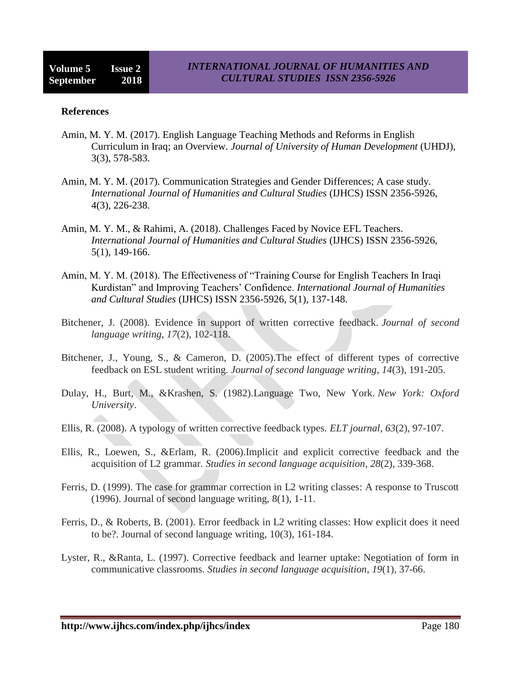#### **References**

- Amin, M. Y. M. (2017). English Language Teaching Methods and Reforms in English Curriculum in Iraq; an Overview. *Journal of University of Human Development* (UHDJ), 3(3), 578-583.
- Amin, M. Y. M. (2017). Communication Strategies and Gender Differences; A case study. *International Journal of Humanities and Cultural Studies* (IJHCS) ISSN 2356-5926, 4(3), 226-238.
- Amin, M. Y. M., & Rahimi, A. (2018). Challenges Faced by Novice EFL Teachers. *International Journal of Humanities and Cultural Studies* (IJHCS) ISSN 2356-5926, 5(1), 149-166.
- Amin, M. Y. M. (2018). The Effectiveness of "Training Course for English Teachers In Iraqi Kurdistan" and Improving Teachers' Confidence. *International Journal of Humanities and Cultural Studies* (IJHCS) ISSN 2356-5926, 5(1), 137-148.
- Bitchener, J. (2008). Evidence in support of written corrective feedback. *Journal of second language writing*, *17*(2), 102-118.
- Bitchener, J., Young, S., & Cameron, D. (2005).The effect of different types of corrective feedback on ESL student writing. *Journal of second language writing*, *14*(3), 191-205.
- Dulay, H., Burt, M., &Krashen, S. (1982).Language Two, New York. *New York: Oxford University*.
- Ellis, R. (2008). A typology of written corrective feedback types. *ELT journal*, *63*(2), 97-107.
- Ellis, R., Loewen, S., &Erlam, R. (2006).Implicit and explicit corrective feedback and the acquisition of L2 grammar. *Studies in second language acquisition*, *28*(2), 339-368.
- Ferris, D. (1999). The case for grammar correction in L2 writing classes: A response to Truscott (1996). Journal of second language writing, 8(1), 1-11.
- Ferris, D., & Roberts, B. (2001). Error feedback in L2 writing classes: How explicit does it need to be?. Journal of second language writing, 10(3), 161-184.
- Lyster, R., &Ranta, L. (1997). Corrective feedback and learner uptake: Negotiation of form in communicative classrooms. *Studies in second language acquisition*, *19*(1), 37-66.